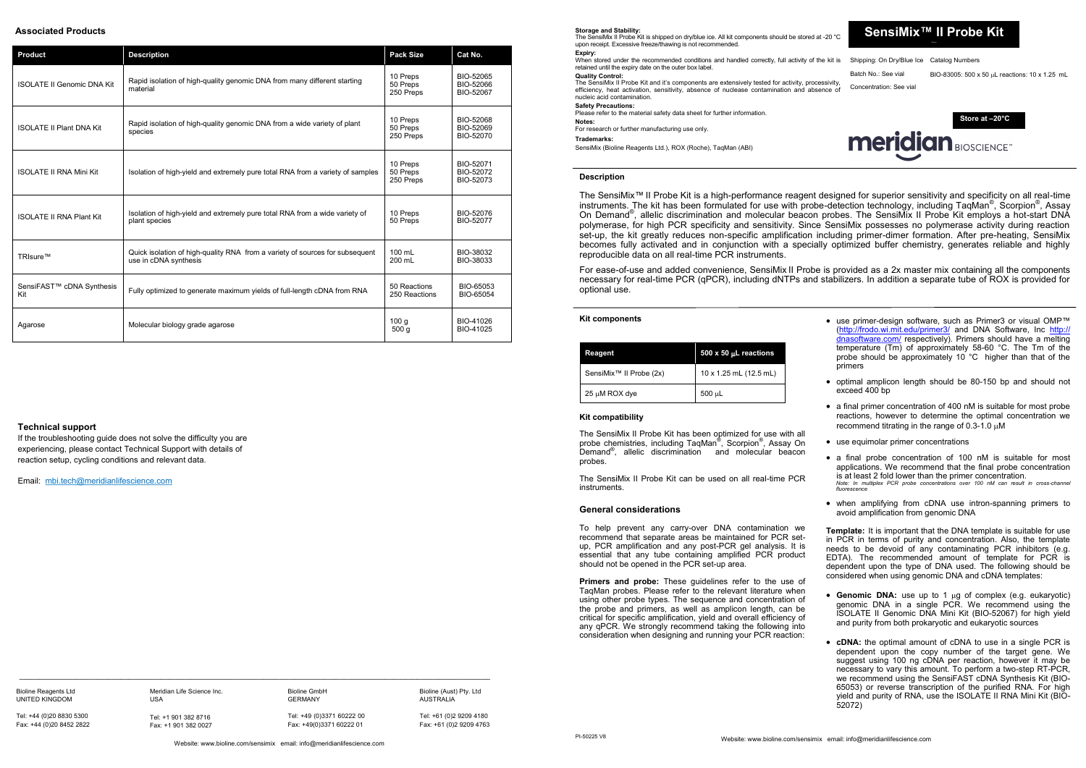# **SensiMix™ II Probe Kit**

Concentration: See vial

Batch No.: See vial BIO-83005:  $500 \times 50$  µL reactions: 10 x 1.25 mL

### **Storage and Stability:**

When stored under the recommended conditions and handled correctly, full activity of the kit is Shipping: On Dry/Blue Ice Catalog Numbers retained until the expiry date on the outer box label.

The SensiMix II Probe Kit is shipped on dry/blue ice. All kit components should be stored at -20 °C upon receipt. Excessive freeze/thawing is not recommended **Expiry:**

# **Quality Control:**

The SensiMix II Probe Kit and it's components are extensively tested for activity, processivity, efficiency, heat activation, sensitivity, absence of nuclease contamination and absence of nucleic acid contamination.

# **Safety Precautions:**

Please refer to the material safety data sheet for further information.

**Notes:** For research or further manufacturing use only.

**Trademarks:**

SensiMix (Bioline Reagents Ltd.), ROX (Roche), TaqMan (ABI)

### **Kit components**



| Reagent                             |  | 500 x 50 µL reactions  |  |
|-------------------------------------|--|------------------------|--|
| SensiMix <sup>™</sup> II Probe (2x) |  | 10 x 1.25 mL (12.5 mL) |  |
| $25 \mu M$ ROX dye                  |  | $500 \mu L$            |  |

The SensiMix II Probe Kit has been optimized for use with all probe chemistries, including TaqMan® , Scorpion® , Assay On Demand® , allelic discrimination and molecular beacon probes.

The SensiMix II Probe Kit can be used on all real-time PCR instruments.

### **Description**

The SensiMix™ II Probe Kit is a high-performance reagent designed for superior sensitivity and specificity on all real-time instruments. The kit has been formulated for use with probe-detection technology, including TaqMan®, Scorpion®, Assay On Demand®, allelic discrimination and molecular beacon probes. The SensiMix II Probe Kit employs a hot-start DNA polymerase, for high PCR specificity and sensitivity. Since SensiMix possesses no polymerase activity during reaction set-up, the kit greatly reduces non-specific amplification including primer-dimer formation. After pre-heating, SensiMix becomes fully activated and in conjunction with a specially optimized buffer chemistry, generates reliable and highly reproducible data on all real-time PCR instruments.

- Genomic DNA: use up to 1 µg of complex (e.g. eukaryotic) genomic DNA in a single PCR. We recommend using the ISOLATE II Genomic DNA Mini Kit (BIO-52067) for high yield and purity from both prokaryotic and eukaryotic sources
- **cDNA:** the optimal amount of cDNA to use in a single PCR is dependent upon the copy number of the target gene. We suggest using 100 ng cDNA per reaction, however it may be necessary to vary this amount. To perform a two-step RT-PCR, we recommend using the SensiFAST cDNA Synthesis Kit (BIO-65053) or reverse transcription of the purified RNA. For high yield and purity of RNA, use the ISOLATE II RNA Mini Kit (BIO-52072)

To help prevent any carry-over DNA contamination we recommend that separate areas be maintained for PCR setup, PCR amplification and any post-PCR gel analysis. It is essential that any tube containing amplified PCR product should not be opened in the PCR set-up area.

For ease-of-use and added convenience, SensiMix II Probe is provided as a 2x master mix containing all the components necessary for real-time PCR (qPCR), including dNTPs and stabilizers. In addition a separate tube of ROX is provided for optional use.

### **Kit compatibility**

**Primers and probe:** These guidelines refer to the use of TaqMan probes. Please refer to the relevant literature when using other probe types. The sequence and concentration of the probe and primers, as well as amplicon length, can be critical for specific amplification, yield and overall efficiency of any qPCR. We strongly recommend taking the following into consideration when designing and running your PCR reaction:

- use primer-design software, such as Primer3 or visual OMP™ (<http://frodo.wi.mit.edu/primer3/> and DNA Software, Inc [http://](http://dnasoftware.com/) [dnasoftware.com/](http://dnasoftware.com/) respectively). Primers should have a melting temperature (Tm) of approximately 58-60 °C. The Tm of the probe should be approximately 10 °C higher than that of the primers
- optimal amplicon length should be 80-150 bp and should not exceed 400 bp
- a final primer concentration of 400 nM is suitable for most probe reactions, however to determine the optimal concentration we recommend titrating in the range of 0.3-1.0  $\mu$ M
- use equimolar primer concentrations
- a final probe concentration of 100 nM is suitable for most applications. We recommend that the final probe concentration is at least 2 fold lower than the primer concentration. *Note: In multiplex PCR probe concentrations over 100 nM can result in cross-channel fluorescence*
- when amplifying from cDNA use intron-spanning primers to avoid amplification from genomic DNA

**Template:** It is important that the DNA template is suitable for use in PCR in terms of purity and concentration. Also, the template needs to be devoid of any contaminating PCR inhibitors (e.g. EDTA). The recommended amount of template for PCR is dependent upon the type of DNA used. The following should be considered when using genomic DNA and cDNA templates:

# **General considerations**

Website: www.bioline.com/sensimix email: info@meridianlifescience.com

 $\_$  , and the state of the state of the state of the state of the state of the state of the state of the state of the state of the state of the state of the state of the state of the state of the state of the state of the

# **Associated Products**

| <b>Product</b>                    | <b>Description</b>                                                                                    | <b>Pack Size</b>                  | Cat No.                             |
|-----------------------------------|-------------------------------------------------------------------------------------------------------|-----------------------------------|-------------------------------------|
| <b>ISOLATE II Genomic DNA Kit</b> | Rapid isolation of high-quality genomic DNA from many different starting<br>material                  | 10 Preps<br>50 Preps<br>250 Preps | BIO-52065<br>BIO-52066<br>BIO-52067 |
| <b>ISOLATE II Plant DNA Kit</b>   | Rapid isolation of high-quality genomic DNA from a wide variety of plant<br>species                   | 10 Preps<br>50 Preps<br>250 Preps | BIO-52068<br>BIO-52069<br>BIO-52070 |
| <b>ISOLATE II RNA Mini Kit</b>    | Isolation of high-yield and extremely pure total RNA from a variety of samples                        | 10 Preps<br>50 Preps<br>250 Preps | BIO-52071<br>BIO-52072<br>BIO-52073 |
| <b>ISOLATE II RNA Plant Kit</b>   | Isolation of high-yield and extremely pure total RNA from a wide variety of<br>plant species          | 10 Preps<br>50 Preps              | BIO-52076<br>BIO-52077              |
| TRIsure™                          | Quick isolation of high-quality RNA from a variety of sources for subsequent<br>use in cDNA synthesis |                                   | BIO-38032<br>BIO-38033              |
| SensiFAST™ cDNA Synthesis<br>Kit  | Fully optimized to generate maximum yields of full-length cDNA from RNA                               | 50 Reactions<br>250 Reactions     | BIO-65053<br>BIO-65054              |
| Agarose                           | Molecular biology grade agarose                                                                       | 100q<br>500q                      | BIO-41026<br>BIO-41025              |

Bioline Reagents Ltd UNITED KINGDOM

Tel: +44 (0)20 8830 5300 Fax: +44 (0)20 8452 2822

Meridian Life Science Inc. USA

Tel: +1 901 382 8716 Fax: +1 901 382 0027 Bioline GmbH GERMANY

Tel: +49 (0)3371 60222 00

Fax: +49(0)3371 60222 01

Bioline (Aust) Pty. Ltd AUSTRALIA

Tel: +61 (0)2 9209 4180 Fax: +61 (0)2 9209 4763

# **Technical support**

If the troubleshooting guide does not solve the difficulty you are experiencing, please contact Technical Support with details of reaction setup, cycling conditions and relevant data.

Email: mbi.[tech@meridianlifescience.com](mailto:tech@bioline.com)